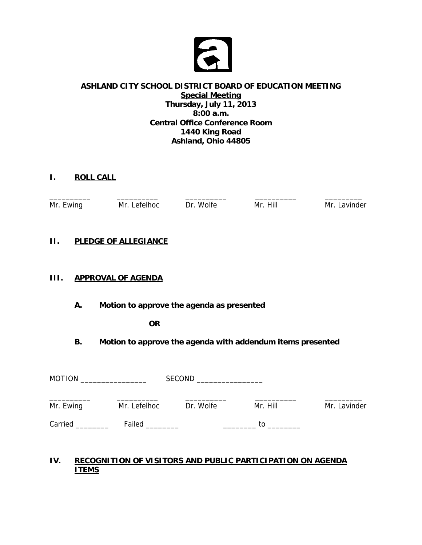

#### **ASHLAND CITY SCHOOL DISTRICT BOARD OF EDUCATION MEETING Special Meeting Thursday, July 11, 2013 8:00 a.m. Central Office Conference Room 1440 King Road Ashland, Ohio 44805**

# **I. ROLL CALL**

| $Mr. \; \mathsf{L}$<br><b>Ewinc</b> | Mr. L<br>. AtAlhoc | Dr Wolfe | Hill<br>Mr 1 | Mr.<br>avinder |
|-------------------------------------|--------------------|----------|--------------|----------------|

### **II. PLEDGE OF ALLEGIANCE**

### **III. APPROVAL OF AGENDA**

 **A. Motion to approve the agenda as presented** 

 **OR** 

 **B. Motion to approve the agenda with addendum items presented** 

| <b>MOTION</b> |              | SECOND    |          |              |
|---------------|--------------|-----------|----------|--------------|
| Mr. Ewing     | Mr. Lefelhoc | Dr. Wolfe | Mr. Hill | Mr. Lavinder |
| Carried       | Failed       |           | TΩ       |              |

### **IV. RECOGNITION OF VISITORS AND PUBLIC PARTICIPATION ON AGENDA ITEMS**